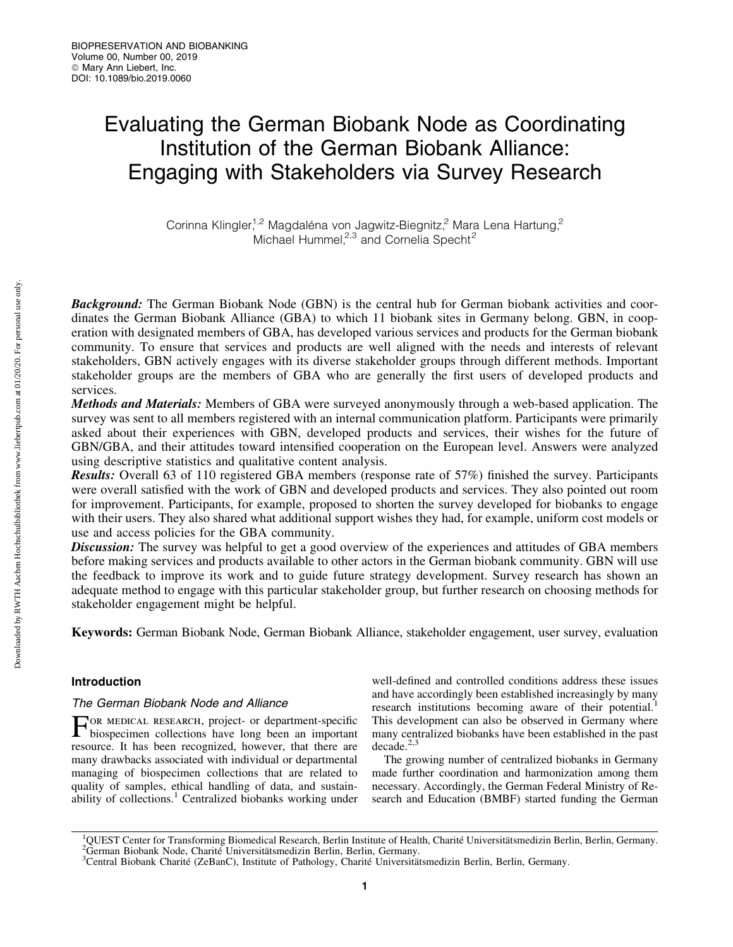# Evaluating the German Biobank Node as Coordinating Institution of the German Biobank Alliance: Engaging with Stakeholders via Survey Research

Corinna Klingler,<sup>1,2</sup> Magdaléna von Jagwitz-Biegnitz,<sup>2</sup> Mara Lena Hartung,<sup>2</sup> Michael Hummel, $2,3$  and Cornelia Specht<sup>2</sup>

**Background:** The German Biobank Node (GBN) is the central hub for German biobank activities and coordinates the German Biobank Alliance (GBA) to which 11 biobank sites in Germany belong. GBN, in cooperation with designated members of GBA, has developed various services and products for the German biobank community. To ensure that services and products are well aligned with the needs and interests of relevant stakeholders, GBN actively engages with its diverse stakeholder groups through different methods. Important stakeholder groups are the members of GBA who are generally the first users of developed products and services.

Methods and Materials: Members of GBA were surveyed anonymously through a web-based application. The survey was sent to all members registered with an internal communication platform. Participants were primarily asked about their experiences with GBN, developed products and services, their wishes for the future of GBN/GBA, and their attitudes toward intensified cooperation on the European level. Answers were analyzed using descriptive statistics and qualitative content analysis.

Results: Overall 63 of 110 registered GBA members (response rate of 57%) finished the survey. Participants were overall satisfied with the work of GBN and developed products and services. They also pointed out room for improvement. Participants, for example, proposed to shorten the survey developed for biobanks to engage with their users. They also shared what additional support wishes they had, for example, uniform cost models or use and access policies for the GBA community.

**Discussion:** The survey was helpful to get a good overview of the experiences and attitudes of GBA members before making services and products available to other actors in the German biobank community. GBN will use the feedback to improve its work and to guide future strategy development. Survey research has shown an adequate method to engage with this particular stakeholder group, but further research on choosing methods for stakeholder engagement might be helpful.

Keywords: German Biobank Node, German Biobank Alliance, stakeholder engagement, user survey, evaluation

# Introduction

# The German Biobank Node and Alliance

For medical research, project- or department-specific biospecimen collections have long been an important resource. It has been recognized, however, that there are many drawbacks associated with individual or departmental managing of biospecimen collections that are related to quality of samples, ethical handling of data, and sustainability of collections.<sup>1</sup> Centralized biobanks working under

well-defined and controlled conditions address these issues and have accordingly been established increasingly by many research institutions becoming aware of their potential.<sup>1</sup> This development can also be observed in Germany where many centralized biobanks have been established in the past  $decade.<sup>2,3</sup>$ 

The growing number of centralized biobanks in Germany made further coordination and harmonization among them necessary. Accordingly, the German Federal Ministry of Research and Education (BMBF) started funding the German

Downloaded by RWTH Aachen Hochschulbibliothek from www.liebertpub.com at 01/20/20. For personal use only. Downloaded by RWTH Aachen Hochschulbibliothek from www.liebertpub.com at 01/20/20. For personal use only

<sup>&</sup>lt;sup>1</sup>QUEST Center for Transforming Biomedical Research, Berlin Institute of Health, Charité Universitätsmedizin Berlin, Berlin, Germany.<br><sup>2</sup>German Biobank Node, Charité Universitätsmedizin Berlin, Berlin, Germany. <sup>2</sup>German Biobank Node, Charite Universitätsmedizin Berlin, Berlin, Germany.

<sup>&</sup>lt;sup>3</sup>Central Biobank Charité (ZeBanC), Institute of Pathology, Charité Universitätsmedizin Berlin, Berlin, Germany.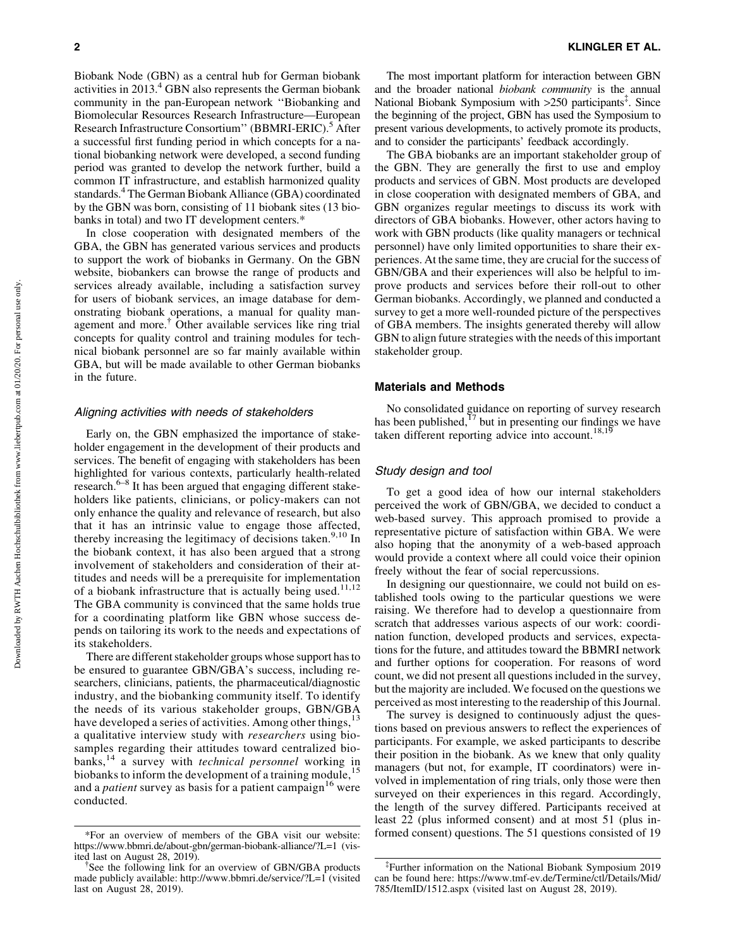Biobank Node (GBN) as a central hub for German biobank activities in 2013.<sup>4</sup> GBN also represents the German biobank community in the pan-European network ''Biobanking and Biomolecular Resources Research Infrastructure—European Research Infrastructure Consortium" (BBMRI-ERIC).<sup>5</sup> After a successful first funding period in which concepts for a national biobanking network were developed, a second funding period was granted to develop the network further, build a common IT infrastructure, and establish harmonized quality standards.4 The German Biobank Alliance (GBA) coordinated by the GBN was born, consisting of 11 biobank sites (13 biobanks in total) and two IT development centers.\*

In close cooperation with designated members of the GBA, the GBN has generated various services and products to support the work of biobanks in Germany. On the GBN website, biobankers can browse the range of products and services already available, including a satisfaction survey for users of biobank services, an image database for demonstrating biobank operations, a manual for quality management and more.<sup> $\dagger$ </sup> Other available services like ring trial concepts for quality control and training modules for technical biobank personnel are so far mainly available within GBA, but will be made available to other German biobanks in the future.

## Aligning activities with needs of stakeholders

Early on, the GBN emphasized the importance of stakeholder engagement in the development of their products and services. The benefit of engaging with stakeholders has been highlighted for various contexts, particularly health-related research.<sup>6–8</sup> It has been argued that engaging different stakeholders like patients, clinicians, or policy-makers can not only enhance the quality and relevance of research, but also that it has an intrinsic value to engage those affected, thereby increasing the legitimacy of decisions taken.<sup>9,10</sup> In the biobank context, it has also been argued that a strong involvement of stakeholders and consideration of their attitudes and needs will be a prerequisite for implementation of a biobank infrastructure that is actually being used.<sup>11,12</sup> The GBA community is convinced that the same holds true for a coordinating platform like GBN whose success depends on tailoring its work to the needs and expectations of its stakeholders.

There are different stakeholder groups whose support has to be ensured to guarantee GBN/GBA's success, including researchers, clinicians, patients, the pharmaceutical/diagnostic industry, and the biobanking community itself. To identify the needs of its various stakeholder groups, GBN/GBA have developed a series of activities. Among other things,  $13$ a qualitative interview study with *researchers* using biosamples regarding their attitudes toward centralized biobanks,<sup>14</sup> a survey with *technical personnel* working in biobanks to inform the development of a training module,<sup>15</sup> and a *patient* survey as basis for a patient campaign<sup>16</sup> were conducted.

The most important platform for interaction between GBN and the broader national *biobank community* is the annual National Biobank Symposium with >250 participants<sup>‡</sup>. Since the beginning of the project, GBN has used the Symposium to present various developments, to actively promote its products, and to consider the participants' feedback accordingly.

The GBA biobanks are an important stakeholder group of the GBN. They are generally the first to use and employ products and services of GBN. Most products are developed in close cooperation with designated members of GBA, and GBN organizes regular meetings to discuss its work with directors of GBA biobanks. However, other actors having to work with GBN products (like quality managers or technical personnel) have only limited opportunities to share their experiences. At the same time, they are crucial for the success of GBN/GBA and their experiences will also be helpful to improve products and services before their roll-out to other German biobanks. Accordingly, we planned and conducted a survey to get a more well-rounded picture of the perspectives of GBA members. The insights generated thereby will allow GBN to align future strategies with the needs of this important stakeholder group.

## Materials and Methods

No consolidated guidance on reporting of survey research has been published, $^{17}$  but in presenting our findings we have taken different reporting advice into account.<sup>18,19</sup>

## Study design and tool

To get a good idea of how our internal stakeholders perceived the work of GBN/GBA, we decided to conduct a web-based survey. This approach promised to provide a representative picture of satisfaction within GBA. We were also hoping that the anonymity of a web-based approach would provide a context where all could voice their opinion freely without the fear of social repercussions.

In designing our questionnaire, we could not build on established tools owing to the particular questions we were raising. We therefore had to develop a questionnaire from scratch that addresses various aspects of our work: coordination function, developed products and services, expectations for the future, and attitudes toward the BBMRI network and further options for cooperation. For reasons of word count, we did not present all questions included in the survey, but the majority are included. We focused on the questions we perceived as most interesting to the readership of this Journal.

The survey is designed to continuously adjust the questions based on previous answers to reflect the experiences of participants. For example, we asked participants to describe their position in the biobank. As we knew that only quality managers (but not, for example, IT coordinators) were involved in implementation of ring trials, only those were then surveyed on their experiences in this regard. Accordingly, the length of the survey differed. Participants received at least 22 (plus informed consent) and at most 51 (plus in- \*For an overview of members of the GBA visit our website: formed consent) questions. The 51 questions consisted of 19

<https://www.bbmri.de/about-gbn/german-biobank-alliance/?L=1> (visited last on August 28, 2019). {

See the following link for an overview of GBN/GBA products made publicly available:<http://www.bbmri.de/service/?L=1> (visited last on August 28, 2019).

<sup>{</sup> Further information on the National Biobank Symposium 2019 can be found here: [https://www.tmf-ev.de/Termine/ctl/Details/Mid/](https://www.tmf-ev.de/Termine/ctl/Details/Mid/785/ItemID/1512.aspx) [785/ItemID/1512.aspx](https://www.tmf-ev.de/Termine/ctl/Details/Mid/785/ItemID/1512.aspx) (visited last on August 28, 2019).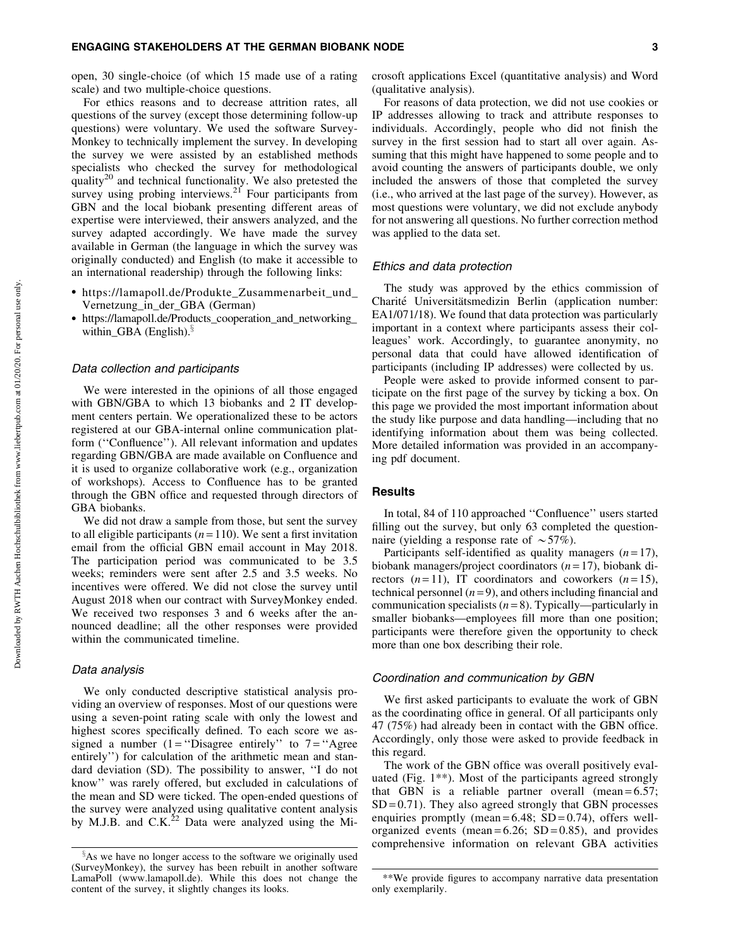open, 30 single-choice (of which 15 made use of a rating scale) and two multiple-choice questions.

For ethics reasons and to decrease attrition rates, all questions of the survey (except those determining follow-up questions) were voluntary. We used the software Survey-Monkey to technically implement the survey. In developing the survey we were assisted by an established methods specialists who checked the survey for methodological quality<sup>20</sup> and technical functionality. We also pretested the survey using probing interviews.<sup>21</sup> Four participants from GBN and the local biobank presenting different areas of expertise were interviewed, their answers analyzed, and the survey adapted accordingly. We have made the survey available in German (the language in which the survey was originally conducted) and English (to make it accessible to an international readership) through the following links:

- https://lamapoll.de/Produkte\_Zusammenarbeit\_und\_ Vernetzung\_in\_der\_GBA (German)
- https://lamapoll.de/Products\_cooperation\_and\_networking\_ within GBA (English). $\frac{5}{3}$

## Data collection and participants

We were interested in the opinions of all those engaged with GBN/GBA to which 13 biobanks and 2 IT development centers pertain. We operationalized these to be actors registered at our GBA-internal online communication platform (''Confluence''). All relevant information and updates regarding GBN/GBA are made available on Confluence and it is used to organize collaborative work (e.g., organization of workshops). Access to Confluence has to be granted through the GBN office and requested through directors of GBA biobanks.

We did not draw a sample from those, but sent the survey to all eligible participants  $(n = 110)$ . We sent a first invitation email from the official GBN email account in May 2018. The participation period was communicated to be 3.5 weeks; reminders were sent after 2.5 and 3.5 weeks. No incentives were offered. We did not close the survey until August 2018 when our contract with SurveyMonkey ended. We received two responses 3 and 6 weeks after the announced deadline; all the other responses were provided within the communicated timeline.

# Data analysis

We only conducted descriptive statistical analysis providing an overview of responses. Most of our questions were using a seven-point rating scale with only the lowest and highest scores specifically defined. To each score we assigned a number  $(1 = "Disagree entirely"$  to  $7 = "Agree$ entirely'') for calculation of the arithmetic mean and standard deviation (SD). The possibility to answer, ''I do not know'' was rarely offered, but excluded in calculations of the mean and SD were ticked. The open-ended questions of the survey were analyzed using qualitative content analysis by M.J.B. and  $C.K.<sup>22</sup>$  Data were analyzed using the Microsoft applications Excel (quantitative analysis) and Word (qualitative analysis).

For reasons of data protection, we did not use cookies or IP addresses allowing to track and attribute responses to individuals. Accordingly, people who did not finish the survey in the first session had to start all over again. Assuming that this might have happened to some people and to avoid counting the answers of participants double, we only included the answers of those that completed the survey (i.e., who arrived at the last page of the survey). However, as most questions were voluntary, we did not exclude anybody for not answering all questions. No further correction method was applied to the data set.

#### Ethics and data protection

The study was approved by the ethics commission of Charité Universitätsmedizin Berlin (application number: EA1/071/18). We found that data protection was particularly important in a context where participants assess their colleagues' work. Accordingly, to guarantee anonymity, no personal data that could have allowed identification of participants (including IP addresses) were collected by us.

People were asked to provide informed consent to participate on the first page of the survey by ticking a box. On this page we provided the most important information about the study like purpose and data handling—including that no identifying information about them was being collected. More detailed information was provided in an accompanying pdf document.

#### **Results**

In total, 84 of 110 approached ''Confluence'' users started filling out the survey, but only 63 completed the questionnaire (yielding a response rate of  $\sim$  57%).

Participants self-identified as quality managers  $(n=17)$ , biobank managers/project coordinators (*n* = 17), biobank directors  $(n=11)$ , IT coordinators and coworkers  $(n=15)$ , technical personnel  $(n=9)$ , and others including financial and communication specialists (*n* = 8). Typically—particularly in smaller biobanks—employees fill more than one position; participants were therefore given the opportunity to check more than one box describing their role.

## Coordination and communication by GBN

We first asked participants to evaluate the work of GBN as the coordinating office in general. Of all participants only 47 (75%) had already been in contact with the GBN office. Accordingly, only those were asked to provide feedback in this regard.

The work of the GBN office was overall positively evaluated (Fig. 1\*\*). Most of the participants agreed strongly that GBN is a reliable partner overall (mean  $= 6.57$ ;  $SD = 0.71$ ). They also agreed strongly that GBN processes enquiries promptly (mean =  $6.48$ ; SD =  $0.74$ ), offers wellorganized events (mean =  $6.26$ ; SD =  $0.85$ ), and provides comprehensive information on relevant GBA activities

 $\delta$ As we have no longer access to the software we originally used (SurveyMonkey), the survey has been rebuilt in another software LamaPoll (www.lamapoll.de). While this does not change the content of the survey, it slightly changes its looks.

<sup>\*\*</sup>We provide figures to accompany narrative data presentation only exemplarily.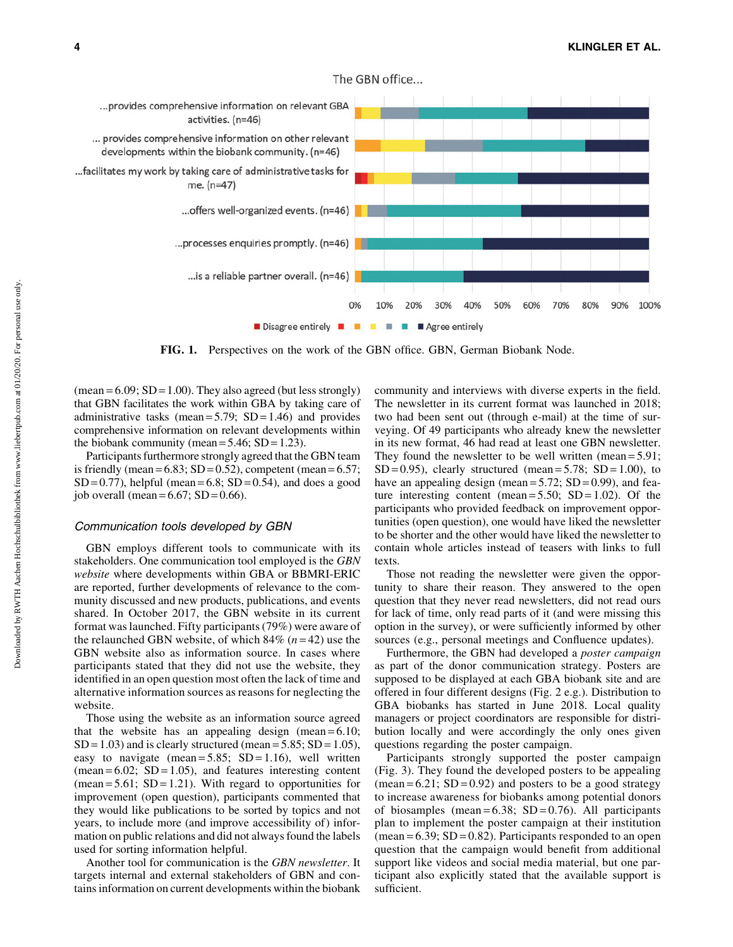

The GBN office...

FIG. 1. Perspectives on the work of the GBN office. GBN, German Biobank Node.

 $(\text{mean} = 6.09; SD = 1.00)$ . They also agreed (but less strongly) that GBN facilitates the work within GBA by taking care of administrative tasks (mean =  $5.79$ ; SD =  $1.46$ ) and provides comprehensive information on relevant developments within the biobank community (mean =  $5.46$ ; SD = 1.23).

Participants furthermore strongly agreed that the GBN team is friendly (mean =  $6.83$ ; SD =  $0.52$ ), competent (mean =  $6.57$ ;  $SD = 0.77$ , helpful (mean = 6.8;  $SD = 0.54$ ), and does a good job overall (mean =  $6.67$ ; SD =  $0.66$ ).

## Communication tools developed by GBN

GBN employs different tools to communicate with its stakeholders. One communication tool employed is the *GBN website* where developments within GBA or BBMRI-ERIC are reported, further developments of relevance to the community discussed and new products, publications, and events shared. In October 2017, the GBN website in its current format was launched. Fifty participants (79%) were aware of the relaunched GBN website, of which 84% (*n* = 42) use the GBN website also as information source. In cases where participants stated that they did not use the website, they identified in an open question most often the lack of time and alternative information sources as reasons for neglecting the website.

Those using the website as an information source agreed that the website has an appealing design (mean  $= 6.10$ ;  $SD = 1.03$ ) and is clearly structured (mean = 5.85;  $SD = 1.05$ ), easy to navigate (mean =  $5.85$ ; SD = 1.16), well written  $(mean = 6.02; SD = 1.05)$ , and features interesting content (mean =  $5.61$ ; SD =  $1.21$ ). With regard to opportunities for improvement (open question), participants commented that they would like publications to be sorted by topics and not years, to include more (and improve accessibility of) information on public relations and did not always found the labels used for sorting information helpful.

Another tool for communication is the *GBN newsletter*. It targets internal and external stakeholders of GBN and contains information on current developments within the biobank community and interviews with diverse experts in the field. The newsletter in its current format was launched in 2018; two had been sent out (through e-mail) at the time of surveying. Of 49 participants who already knew the newsletter in its new format, 46 had read at least one GBN newsletter. They found the newsletter to be well written (mean = 5.91;  $SD = 0.95$ , clearly structured (mean = 5.78;  $SD = 1.00$ ), to have an appealing design (mean =  $5.72$ ; SD = 0.99), and feature interesting content (mean =  $5.50$ ; SD =  $1.02$ ). Of the participants who provided feedback on improvement opportunities (open question), one would have liked the newsletter to be shorter and the other would have liked the newsletter to contain whole articles instead of teasers with links to full texts.

Those not reading the newsletter were given the opportunity to share their reason. They answered to the open question that they never read newsletters, did not read ours for lack of time, only read parts of it (and were missing this option in the survey), or were sufficiently informed by other sources (e.g., personal meetings and Confluence updates).

Furthermore, the GBN had developed a *poster campaign* as part of the donor communication strategy. Posters are supposed to be displayed at each GBA biobank site and are offered in four different designs (Fig. 2 e.g.). Distribution to GBA biobanks has started in June 2018. Local quality managers or project coordinators are responsible for distribution locally and were accordingly the only ones given questions regarding the poster campaign.

Participants strongly supported the poster campaign (Fig. 3). They found the developed posters to be appealing  $(\text{mean} = 6.21; SD = 0.92)$  and posters to be a good strategy to increase awareness for biobanks among potential donors of biosamples (mean= $6.38$ ; SD= $0.76$ ). All participants plan to implement the poster campaign at their institution  $(\text{mean} = 6.39; SD = 0.82)$ . Participants responded to an open question that the campaign would benefit from additional support like videos and social media material, but one participant also explicitly stated that the available support is sufficient.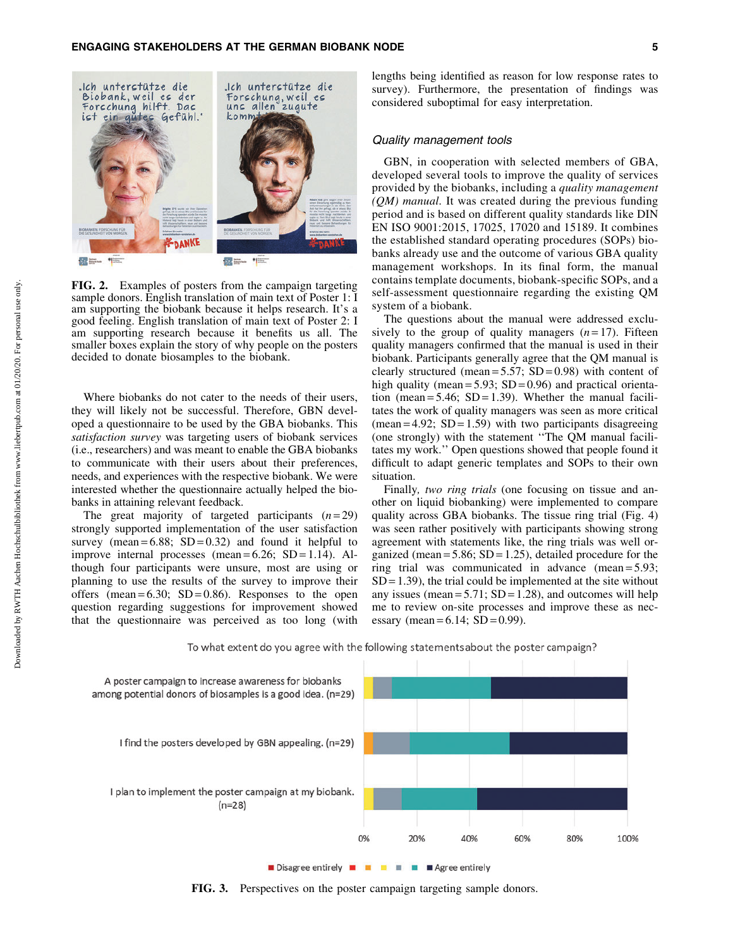

FIG. 2. Examples of posters from the campaign targeting sample donors. English translation of main text of Poster 1: I am supporting the biobank because it helps research. It's a good feeling. English translation of main text of Poster 2: I am supporting research because it benefits us all. The smaller boxes explain the story of why people on the posters decided to donate biosamples to the biobank.

Where biobanks do not cater to the needs of their users, they will likely not be successful. Therefore, GBN developed a questionnaire to be used by the GBA biobanks. This *satisfaction survey* was targeting users of biobank services (i.e., researchers) and was meant to enable the GBA biobanks to communicate with their users about their preferences, needs, and experiences with the respective biobank. We were interested whether the questionnaire actually helped the biobanks in attaining relevant feedback.

The great majority of targeted participants  $(n=29)$ strongly supported implementation of the user satisfaction survey (mean =  $6.88$ ; SD =  $0.32$ ) and found it helpful to improve internal processes (mean  $= 6.26$ ; SD  $= 1.14$ ). Although four participants were unsure, most are using or planning to use the results of the survey to improve their offers (mean =  $6.30$ ; SD =  $0.86$ ). Responses to the open question regarding suggestions for improvement showed that the questionnaire was perceived as too long (with lengths being identified as reason for low response rates to survey). Furthermore, the presentation of findings was considered suboptimal for easy interpretation.

## Quality management tools

GBN, in cooperation with selected members of GBA, developed several tools to improve the quality of services provided by the biobanks, including a *quality management (QM) manual.* It was created during the previous funding period and is based on different quality standards like DIN EN ISO 9001:2015, 17025, 17020 and 15189. It combines the established standard operating procedures (SOPs) biobanks already use and the outcome of various GBA quality management workshops. In its final form, the manual contains template documents, biobank-specific SOPs, and a self-assessment questionnaire regarding the existing QM system of a biobank.

The questions about the manual were addressed exclusively to the group of quality managers  $(n=17)$ . Fifteen quality managers confirmed that the manual is used in their biobank. Participants generally agree that the QM manual is clearly structured (mean =  $5.57$ ; SD = 0.98) with content of high quality (mean =  $5.93$ ; SD = 0.96) and practical orientation (mean =  $5.46$ ; SD = 1.39). Whether the manual facilitates the work of quality managers was seen as more critical  $(mean = 4.92; SD = 1.59)$  with two participants disagreeing (one strongly) with the statement ''The QM manual facilitates my work.'' Open questions showed that people found it difficult to adapt generic templates and SOPs to their own situation.

Finally*, two ring trials* (one focusing on tissue and another on liquid biobanking) were implemented to compare quality across GBA biobanks. The tissue ring trial (Fig. 4) was seen rather positively with participants showing strong agreement with statements like, the ring trials was well organized (mean  $= 5.86$ ; SD  $= 1.25$ ), detailed procedure for the ring trial was communicated in advance (mean = 5.93;  $SD = 1.39$ , the trial could be implemented at the site without any issues (mean =  $5.71$ ; SD = 1.28), and outcomes will help me to review on-site processes and improve these as necessary (mean =  $6.14$ ; SD = 0.99).



To what extent do you agree with the following statements about the poster campaign?

Disagree entirely **EXTEREM** Agree entirely

FIG. 3. Perspectives on the poster campaign targeting sample donors.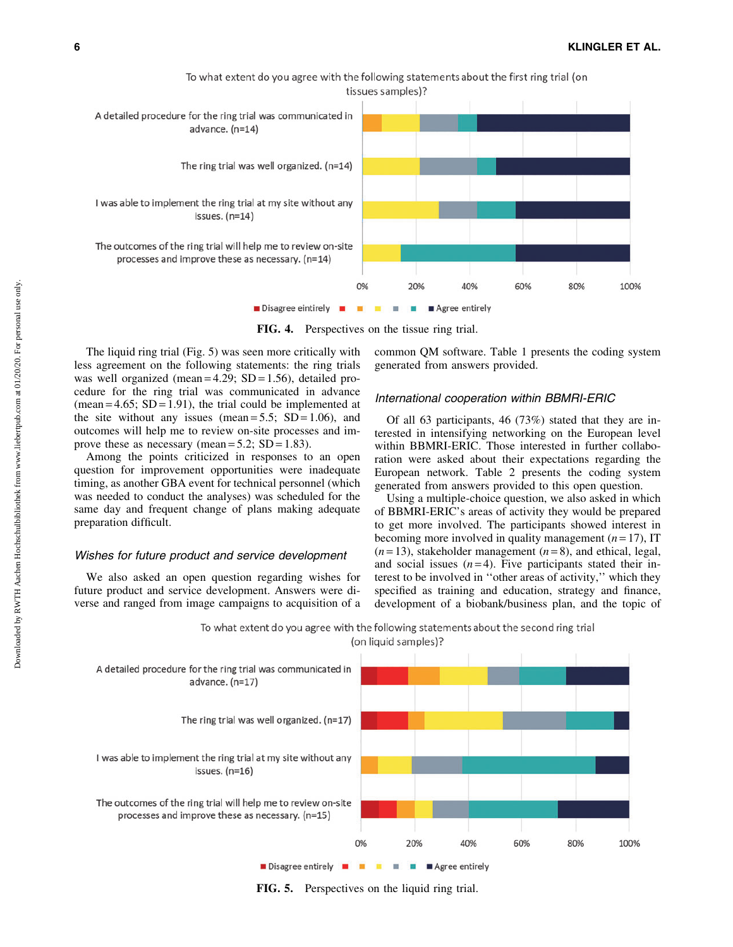

To what extent do you agree with the following statements about the first ring trial (on

FIG. 4. Perspectives on the tissue ring trial.

The liquid ring trial (Fig. 5) was seen more critically with less agreement on the following statements: the ring trials was well organized (mean  $= 4.29$ ; SD  $= 1.56$ ), detailed procedure for the ring trial was communicated in advance (mean =  $4.65$ ; SD = 1.91), the trial could be implemented at the site without any issues (mean =  $5.5$ ; SD = 1.06), and outcomes will help me to review on-site processes and improve these as necessary (mean =  $5.2$ ; SD = 1.83).

Among the points criticized in responses to an open question for improvement opportunities were inadequate timing, as another GBA event for technical personnel (which was needed to conduct the analyses) was scheduled for the same day and frequent change of plans making adequate preparation difficult.

### Wishes for future product and service development

We also asked an open question regarding wishes for future product and service development. Answers were diverse and ranged from image campaigns to acquisition of a common QM software. Table 1 presents the coding system generated from answers provided.

## International cooperation within BBMRI-ERIC

Of all 63 participants, 46 (73%) stated that they are interested in intensifying networking on the European level within BBMRI-ERIC. Those interested in further collaboration were asked about their expectations regarding the European network. Table 2 presents the coding system generated from answers provided to this open question.

Using a multiple-choice question, we also asked in which of BBMRI-ERIC's areas of activity they would be prepared to get more involved. The participants showed interest in becoming more involved in quality management  $(n=17)$ , IT  $(n=13)$ , stakeholder management  $(n=8)$ , and ethical, legal, and social issues  $(n=4)$ . Five participants stated their interest to be involved in ''other areas of activity,'' which they specified as training and education, strategy and finance, development of a biobank/business plan, and the topic of



FIG. 5. Perspectives on the liquid ring trial.

To what extent do you agree with the following statements about the second ring trial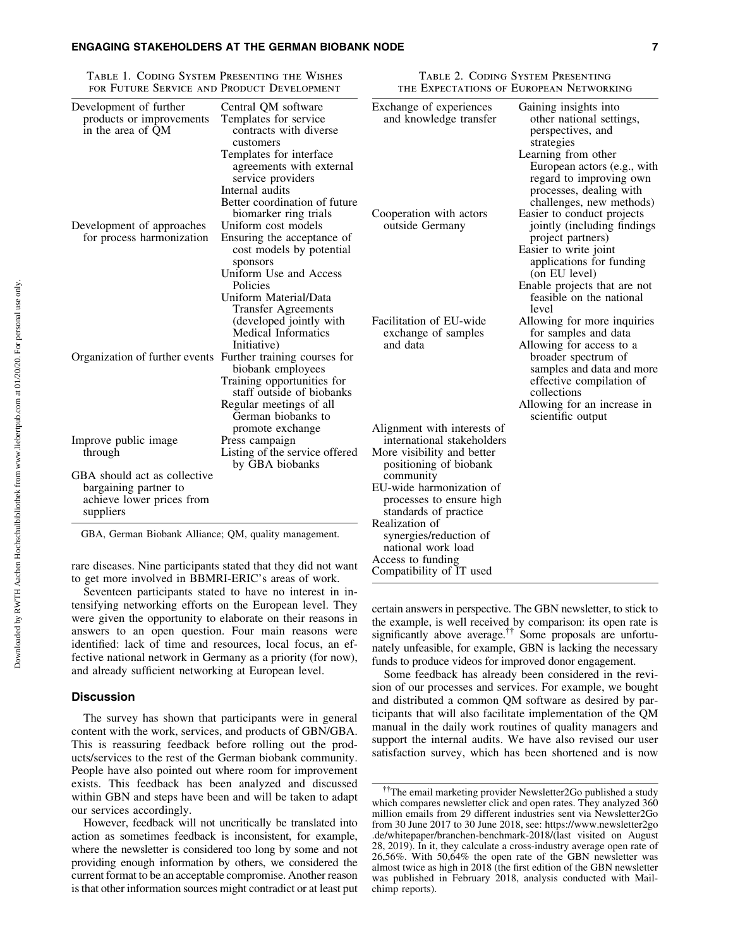### ENGAGING STAKEHOLDERS AT THE GERMAN BIOBANK NODE 7

Table 1. Coding System Presenting the Wishes for Future Service and Product Development

Table 2. Coding System Presenting the Expectations of European Networking

| FOR FUTURE SERVICE AND PRODUCT DEVELOPMENT                              |                                                                                                                              | THE EXPECTATIONS OF EUROPEAN NETWORKING                  |                                                                                                                                      |
|-------------------------------------------------------------------------|------------------------------------------------------------------------------------------------------------------------------|----------------------------------------------------------|--------------------------------------------------------------------------------------------------------------------------------------|
| Development of further<br>products or improvements<br>in the area of QM | Central QM software<br>Templates for service<br>contracts with diverse<br>customers                                          | Exchange of experiences<br>and knowledge transfer        | Gaining insights into<br>other national settings,<br>perspectives, and<br>strategies                                                 |
|                                                                         | Templates for interface<br>agreements with external<br>service providers<br>Internal audits<br>Better coordination of future |                                                          | Learning from other<br>European actors (e.g., with<br>regard to improving own<br>processes, dealing with<br>challenges, new methods) |
|                                                                         | biomarker ring trials                                                                                                        | Cooperation with actors                                  | Easier to conduct projects                                                                                                           |
| Development of approaches<br>for process harmonization                  | Uniform cost models<br>Ensuring the acceptance of                                                                            | outside Germany                                          | jointly (including findings<br>project partners)                                                                                     |
|                                                                         | cost models by potential<br>sponsors                                                                                         |                                                          | Easier to write joint<br>applications for funding                                                                                    |
|                                                                         | Uniform Use and Access                                                                                                       |                                                          | (on EU level)                                                                                                                        |
|                                                                         | Policies                                                                                                                     |                                                          | Enable projects that are not                                                                                                         |
|                                                                         | Uniform Material/Data<br><b>Transfer Agreements</b>                                                                          |                                                          | feasible on the national<br>level                                                                                                    |
|                                                                         | (developed jointly with<br><b>Medical Informatics</b>                                                                        | Facilitation of EU-wide<br>exchange of samples           | Allowing for more inquiries<br>for samples and data                                                                                  |
| Organization of further events Further training courses for             | Initiative)<br>biobank employees                                                                                             | and data                                                 | Allowing for access to a<br>broader spectrum of<br>samples and data and more                                                         |
|                                                                         | Training opportunities for<br>staff outside of biobanks                                                                      |                                                          | effective compilation of<br>collections                                                                                              |
|                                                                         | Regular meetings of all<br>German biobanks to                                                                                |                                                          | Allowing for an increase in<br>scientific output                                                                                     |
|                                                                         | promote exchange                                                                                                             | Alignment with interests of                              |                                                                                                                                      |
| Improve public image<br>through                                         | Press campaign<br>Listing of the service offered                                                                             | international stakeholders<br>More visibility and better |                                                                                                                                      |
|                                                                         | by GBA biobanks                                                                                                              | positioning of biobank                                   |                                                                                                                                      |
| GBA should act as collective                                            |                                                                                                                              | community                                                |                                                                                                                                      |
| bargaining partner to                                                   |                                                                                                                              | EU-wide harmonization of                                 |                                                                                                                                      |
| achieve lower prices from                                               |                                                                                                                              | processes to ensure high                                 |                                                                                                                                      |
| suppliers                                                               |                                                                                                                              | standards of practice                                    |                                                                                                                                      |
| GBA, German Biobank Alliance; QM, quality management.                   |                                                                                                                              | Realization of<br>synergies/reduction of                 |                                                                                                                                      |
|                                                                         |                                                                                                                              | national work load                                       |                                                                                                                                      |
| $\cdots$                                                                |                                                                                                                              | Access to funding                                        |                                                                                                                                      |

rare diseases. Nine participants stated that they did not want to get more involved in BBMRI-ERIC's areas of work.

Seventeen participants stated to have no interest in intensifying networking efforts on the European level. They were given the opportunity to elaborate on their reasons in answers to an open question. Four main reasons were identified: lack of time and resources, local focus, an effective national network in Germany as a priority (for now), and already sufficient networking at European level.

## **Discussion**

The survey has shown that participants were in general content with the work, services, and products of GBN/GBA. This is reassuring feedback before rolling out the products/services to the rest of the German biobank community. People have also pointed out where room for improvement exists. This feedback has been analyzed and discussed within GBN and steps have been and will be taken to adapt our services accordingly.

However, feedback will not uncritically be translated into action as sometimes feedback is inconsistent, for example, where the newsletter is considered too long by some and not providing enough information by others, we considered the current format to be an acceptable compromise. Another reason is that other information sources might contradict or at least put certain answers in perspective. The GBN newsletter, to stick to the example, is well received by comparison: its open rate is significantly above average.<sup>††</sup> Some proposals are unfortunately unfeasible, for example, GBN is lacking the necessary funds to produce videos for improved donor engagement.

Compatibility of IT used

Some feedback has already been considered in the revision of our processes and services. For example, we bought and distributed a common QM software as desired by participants that will also facilitate implementation of the QM manual in the daily work routines of quality managers and support the internal audits. We have also revised our user satisfaction survey, which has been shortened and is now

<sup>&</sup>lt;sup>††</sup>The email marketing provider Newsletter2Go published a study which compares newsletter click and open rates. They analyzed 360 million emails from 29 different industries sent via Newsletter2Go from 30 June 2017 to 30 June 2018, see: [https://www.newsletter2go](https://www.newsletter2go.de/whitepaper/branchen-benchmark-2018/(last) [.de/whitepaper/branchen-benchmark-2018/\(last](https://www.newsletter2go.de/whitepaper/branchen-benchmark-2018/(last) visited on August 28, 2019). In it, they calculate a cross-industry average open rate of 26,56%. With 50,64% the open rate of the GBN newsletter was almost twice as high in 2018 (the first edition of the GBN newsletter was published in February 2018, analysis conducted with Mailchimp reports).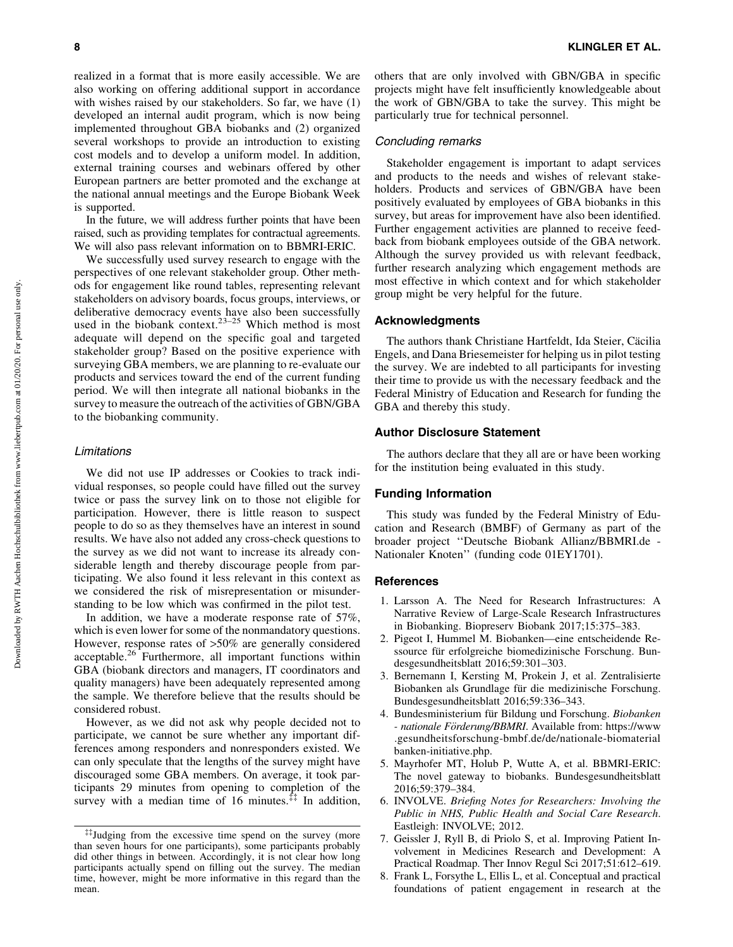realized in a format that is more easily accessible. We are also working on offering additional support in accordance with wishes raised by our stakeholders. So far, we have (1) developed an internal audit program, which is now being implemented throughout GBA biobanks and (2) organized several workshops to provide an introduction to existing cost models and to develop a uniform model. In addition, external training courses and webinars offered by other European partners are better promoted and the exchange at the national annual meetings and the Europe Biobank Week is supported.

In the future, we will address further points that have been raised, such as providing templates for contractual agreements. We will also pass relevant information on to BBMRI-ERIC.

We successfully used survey research to engage with the perspectives of one relevant stakeholder group. Other methods for engagement like round tables, representing relevant stakeholders on advisory boards, focus groups, interviews, or deliberative democracy events have also been successfully used in the biobank context.<sup>23–25</sup> Which method is most adequate will depend on the specific goal and targeted stakeholder group? Based on the positive experience with surveying GBA members, we are planning to re-evaluate our products and services toward the end of the current funding period. We will then integrate all national biobanks in the survey to measure the outreach of the activities of GBN/GBA to the biobanking community.

#### Limitations

We did not use IP addresses or Cookies to track individual responses, so people could have filled out the survey twice or pass the survey link on to those not eligible for participation. However, there is little reason to suspect people to do so as they themselves have an interest in sound results. We have also not added any cross-check questions to the survey as we did not want to increase its already considerable length and thereby discourage people from participating. We also found it less relevant in this context as we considered the risk of misrepresentation or misunderstanding to be low which was confirmed in the pilot test.

In addition, we have a moderate response rate of 57%, which is even lower for some of the nonmandatory questions. However, response rates of >50% are generally considered acceptable.<sup>26</sup> Furthermore, all important functions within GBA (biobank directors and managers, IT coordinators and quality managers) have been adequately represented among the sample. We therefore believe that the results should be considered robust.

However, as we did not ask why people decided not to participate, we cannot be sure whether any important differences among responders and nonresponders existed. We can only speculate that the lengths of the survey might have discouraged some GBA members. On average, it took participants 29 minutes from opening to completion of the survey with a median time of 16 minutes.<sup> $\ddagger\ddagger$ </sup> In addition, others that are only involved with GBN/GBA in specific projects might have felt insufficiently knowledgeable about the work of GBN/GBA to take the survey. This might be particularly true for technical personnel.

#### Concluding remarks

Stakeholder engagement is important to adapt services and products to the needs and wishes of relevant stakeholders. Products and services of GBN/GBA have been positively evaluated by employees of GBA biobanks in this survey, but areas for improvement have also been identified. Further engagement activities are planned to receive feedback from biobank employees outside of the GBA network. Although the survey provided us with relevant feedback, further research analyzing which engagement methods are most effective in which context and for which stakeholder group might be very helpful for the future.

# Acknowledgments

The authors thank Christiane Hartfeldt, Ida Steier, Cäcilia Engels, and Dana Briesemeister for helping us in pilot testing the survey. We are indebted to all participants for investing their time to provide us with the necessary feedback and the Federal Ministry of Education and Research for funding the GBA and thereby this study.

# Author Disclosure Statement

The authors declare that they all are or have been working for the institution being evaluated in this study.

# Funding Information

This study was funded by the Federal Ministry of Education and Research (BMBF) of Germany as part of the broader project ''Deutsche Biobank Allianz/BBMRI.de - Nationaler Knoten'' (funding code 01EY1701).

#### References

- 1. Larsson A. The Need for Research Infrastructures: A Narrative Review of Large-Scale Research Infrastructures in Biobanking. Biopreserv Biobank 2017;15:375–383.
- 2. Pigeot I, Hummel M. Biobanken—eine entscheidende Ressource für erfolgreiche biomedizinische Forschung. Bundesgesundheitsblatt 2016;59:301–303.
- 3. Bernemann I, Kersting M, Prokein J, et al. Zentralisierte Biobanken als Grundlage für die medizinische Forschung. Bundesgesundheitsblatt 2016;59:336–343.
- 4. Bundesministerium für Bildung und Forschung. Biobanken *- nationale Fo¨rderung/BBMRI*. Available from: [https://www](https://www.gesundheitsforschung-bmbf.de/de/nationale-biomaterialbanken-initiative.php) [.gesundheitsforschung-bmbf.de/de/nationale-biomaterial](https://www.gesundheitsforschung-bmbf.de/de/nationale-biomaterialbanken-initiative.php) [banken-initiative.php](https://www.gesundheitsforschung-bmbf.de/de/nationale-biomaterialbanken-initiative.php).
- 5. Mayrhofer MT, Holub P, Wutte A, et al. BBMRI-ERIC: The novel gateway to biobanks. Bundesgesundheitsblatt 2016;59:379–384.
- 6. INVOLVE. *Briefing Notes for Researchers: Involving the Public in NHS, Public Health and Social Care Research*. Eastleigh: INVOLVE; 2012.
- 7. Geissler J, Ryll B, di Priolo S, et al. Improving Patient Involvement in Medicines Research and Development: A Practical Roadmap. Ther Innov Regul Sci 2017;51:612–619.
- 8. Frank L, Forsythe L, Ellis L, et al. Conceptual and practical foundations of patient engagement in research at the

<sup>{{</sup>Judging from the excessive time spend on the survey (more than seven hours for one participants), some participants probably did other things in between. Accordingly, it is not clear how long participants actually spend on filling out the survey. The median time, however, might be more informative in this regard than the mean.